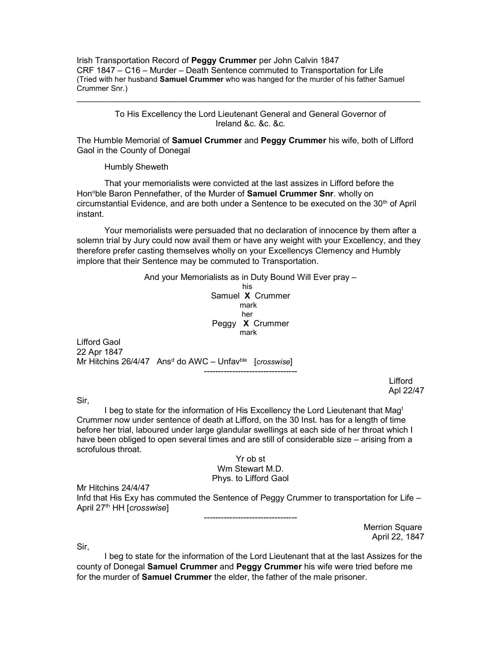Irish Transportation Record of Peggy Crummer per John Calvin 1847 CRF 1847 – C16 – Murder – Death Sentence commuted to Transportation for Life (Tried with her husband Samuel Crummer who was hanged for the murder of his father Samuel Crummer Snr.)

> To His Excellency the Lord Lieutenant General and General Governor of Ireland &c. &c. &c.

The Humble Memorial of Samuel Crummer and Peggy Crummer his wife, both of Lifford Gaol in the County of Donegal

Humbly Sheweth

 That your memorialists were convicted at the last assizes in Lifford before the Hon<sup>o</sup>ble Baron Pennefather, of the Murder of Samuel Crummer Snr. wholly on circumstantial Evidence, and are both under a Sentence to be executed on the  $30<sup>th</sup>$  of April instant.

 Your memorialists were persuaded that no declaration of innocence by them after a solemn trial by Jury could now avail them or have any weight with your Excellency, and they therefore prefer casting themselves wholly on your Excellencys Clemency and Humbly implore that their Sentence may be commuted to Transportation.

> And your Memorialists as in Duty Bound Will Ever pray – his Samuel X Crummer mark her Peggy X Crummer mark

22 Apr 1847 Mr Hitchins 26/4/47 Ans<sup>d</sup> do AWC – Unfav<sup>ble</sup> [crosswise] ---------------------------------

> Lifford Apl 22/47

Sir,

Lifford Gaol

I beg to state for the information of His Excellency the Lord Lieutenant that Mag<sup>t</sup> Crummer now under sentence of death at Lifford, on the 30 Inst. has for a length of time before her trial, laboured under large glandular swellings at each side of her throat which I have been obliged to open several times and are still of considerable size – arising from a scrofulous throat.

> Yr ob st Wm Stewart M.D. Phys. to Lifford Gaol

Mr Hitchins 24/4/47 Infd that His Exy has commuted the Sentence of Peggy Crummer to transportation for Life – April 27<sup>th</sup> HH [crosswise]

---------------------------------

Merrion Square April 22, 1847

Sir,

 I beg to state for the information of the Lord Lieutenant that at the last Assizes for the county of Donegal Samuel Crummer and Peggy Crummer his wife were tried before me for the murder of Samuel Crummer the elder, the father of the male prisoner.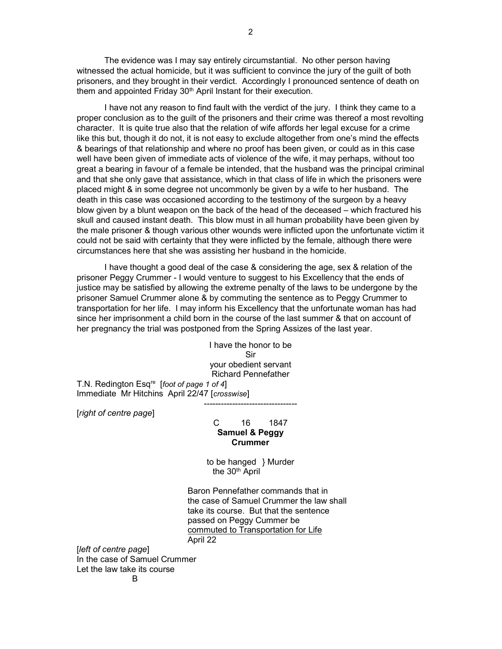The evidence was I may say entirely circumstantial. No other person having witnessed the actual homicide, but it was sufficient to convince the jury of the guilt of both prisoners, and they brought in their verdict. Accordingly I pronounced sentence of death on them and appointed Friday 30<sup>th</sup> April Instant for their execution.

 I have not any reason to find fault with the verdict of the jury. I think they came to a proper conclusion as to the guilt of the prisoners and their crime was thereof a most revolting character. It is quite true also that the relation of wife affords her legal excuse for a crime like this but, though it do not, it is not easy to exclude altogether from one's mind the effects & bearings of that relationship and where no proof has been given, or could as in this case well have been given of immediate acts of violence of the wife, it may perhaps, without too great a bearing in favour of a female be intended, that the husband was the principal criminal and that she only gave that assistance, which in that class of life in which the prisoners were placed might & in some degree not uncommonly be given by a wife to her husband. The death in this case was occasioned according to the testimony of the surgeon by a heavy blow given by a blunt weapon on the back of the head of the deceased – which fractured his skull and caused instant death. This blow must in all human probability have been given by the male prisoner & though various other wounds were inflicted upon the unfortunate victim it could not be said with certainty that they were inflicted by the female, although there were circumstances here that she was assisting her husband in the homicide.

 I have thought a good deal of the case & considering the age, sex & relation of the prisoner Peggy Crummer - I would venture to suggest to his Excellency that the ends of justice may be satisfied by allowing the extreme penalty of the laws to be undergone by the prisoner Samuel Crummer alone & by commuting the sentence as to Peggy Crummer to transportation for her life. I may inform his Excellency that the unfortunate woman has had since her imprisonment a child born in the course of the last summer & that on account of her pregnancy the trial was postponed from the Spring Assizes of the last year.

I have the honor to be Sir your obedient servant Richard Pennefather T.N. Redington Esq<sup>re</sup> [foot of page 1 of 4] Immediate Mr Hitchins April 22/47 [crosswise]

[right of centre page]

## C 16 1847 Samuel & Peggy Crummer

---------------------------------

to be hanged } Murder the 30th April

 Baron Pennefather commands that in the case of Samuel Crummer the law shall take its course. But that the sentence passed on Peggy Cummer be commuted to Transportation for Life April 22

[left of centre page] In the case of Samuel Crummer Let the law take its course **B**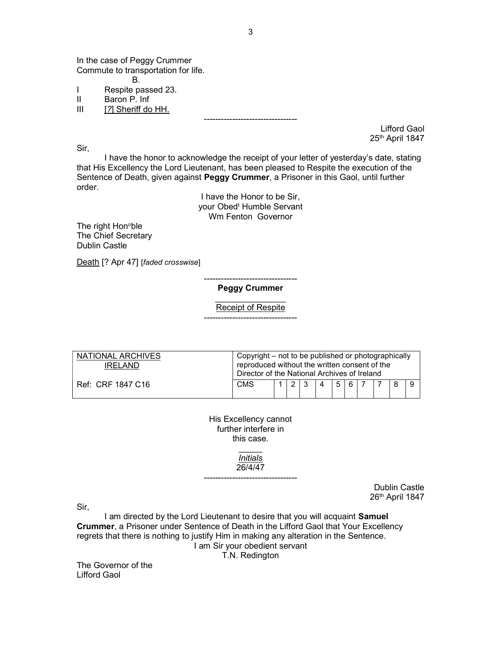In the case of Peggy Crummer Commute to transportation for life. B.

- I Respite passed 23.<br>II Baron P. Inf
- II Baron P. Inf

[?] Sheriff do HH.

Sir,

Lifford Gaol 25th April 1847

 I have the honor to acknowledge the receipt of your letter of yesterday's date, stating that His Excellency the Lord Lieutenant, has been pleased to Respite the execution of the Sentence of Death, given against **Peggy Crummer**, a Prisoner in this Gaol, until further order.

---------------------------------

I have the Honor to be Sir, your Obed<sup>t</sup> Humble Servant Wm Fenton Governor

The right Hon<sup>o</sup>ble The Chief Secretary Dublin Castle

Death [? Apr 47] [faded crosswise]

--------------------------------- Peggy Crummer

 $\overline{\phantom{a}}$ Receipt of Respite ---------------------------------

| NATIONAL ARCHIVES<br>IRFI AND | Copyright – not to be published or photographically<br>reproduced without the written consent of the<br>Director of the National Archives of Ireland |  |  |   |   |  |    |  |  |  |  |
|-------------------------------|------------------------------------------------------------------------------------------------------------------------------------------------------|--|--|---|---|--|----|--|--|--|--|
| Ref: CRF 1847 C16             | <b>CMS</b>                                                                                                                                           |  |  | 3 | Δ |  | 56 |  |  |  |  |

His Excellency cannot further interfere in this case.

 $\overline{\phantom{a}}$ Initials 26/4/47

---------------------------------

Dublin Castle 26th April 1847

Sir,

 I am directed by the Lord Lieutenant to desire that you will acquaint Samuel Crummer, a Prisoner under Sentence of Death in the Lifford Gaol that Your Excellency regrets that there is nothing to justify Him in making any alteration in the Sentence. I am Sir your obedient servant

T.N. Redington

The Governor of the Lifford Gaol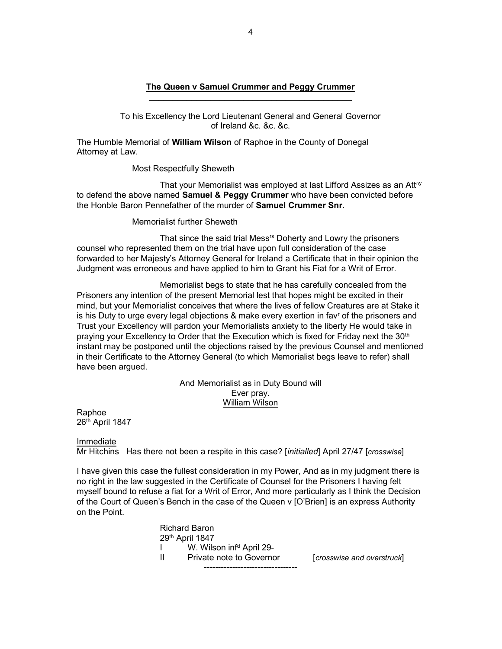## The Queen v Samuel Crummer and Peggy Crummer \_\_\_\_\_\_\_\_\_\_\_\_\_\_\_\_\_\_\_\_\_\_\_\_\_\_\_\_\_\_\_\_\_\_\_\_\_\_\_\_\_\_\_

To his Excellency the Lord Lieutenant General and General Governor of Ireland &c. &c. &c.

The Humble Memorial of William Wilson of Raphoe in the County of Donegal Attorney at Law.

Most Respectfully Sheweth

That your Memorialist was employed at last Lifford Assizes as an Attny to defend the above named **Samuel & Peggy Crummer** who have been convicted before the Honble Baron Pennefather of the murder of Samuel Crummer Snr.

Memorialist further Sheweth

That since the said trial Mess<sup>rs</sup> Doherty and Lowry the prisoners counsel who represented them on the trial have upon full consideration of the case forwarded to her Majesty's Attorney General for Ireland a Certificate that in their opinion the Judgment was erroneous and have applied to him to Grant his Fiat for a Writ of Error.

 Memorialist begs to state that he has carefully concealed from the Prisoners any intention of the present Memorial lest that hopes might be excited in their mind, but your Memorialist conceives that where the lives of fellow Creatures are at Stake it is his Duty to urge every legal objections & make every exertion in fav<sup>r</sup> of the prisoners and Trust your Excellency will pardon your Memorialists anxiety to the liberty He would take in praying your Excellency to Order that the Execution which is fixed for Friday next the 30<sup>th</sup> instant may be postponed until the objections raised by the previous Counsel and mentioned in their Certificate to the Attorney General (to which Memorialist begs leave to refer) shall have been argued.

# And Memorialist as in Duty Bound will Ever pray. William Wilson

Raphoe 26th April 1847

**Immediate** 

Mr Hitchins Has there not been a respite in this case? [initialled] April 27/47 [crosswise]

I have given this case the fullest consideration in my Power, And as in my judgment there is no right in the law suggested in the Certificate of Counsel for the Prisoners I having felt myself bound to refuse a fiat for a Writ of Error, And more particularly as I think the Decision of the Court of Queen's Bench in the case of the Queen v [O'Brien] is an express Authority on the Point.

| <b>Richard Baron</b>                 |                            |
|--------------------------------------|----------------------------|
| 29th April 1847                      |                            |
| W. Wilson inf <sup>d</sup> April 29- |                            |
| Private note to Governor             | [crosswise and overstruck] |
|                                      |                            |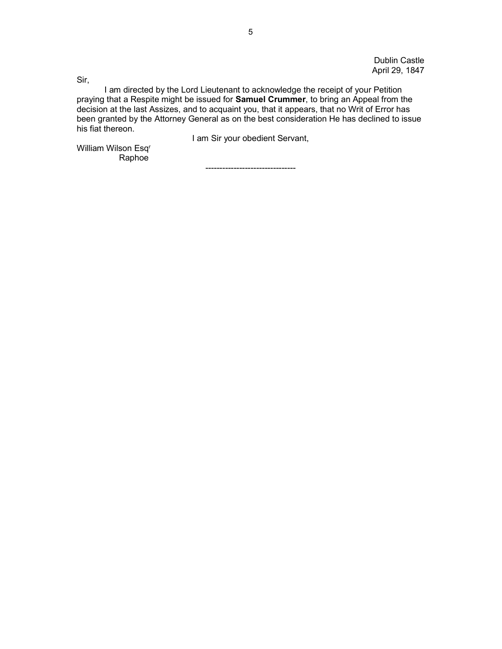Dublin Castle April 29, 1847

Sir,

 I am directed by the Lord Lieutenant to acknowledge the receipt of your Petition praying that a Respite might be issued for Samuel Crummer, to bring an Appeal from the decision at the last Assizes, and to acquaint you, that it appears, that no Writ of Error has been granted by the Attorney General as on the best consideration He has declined to issue his fiat thereon.

I am Sir your obedient Servant,

William Wilson Esq<sup>r</sup> Raphoe

--------------------------------